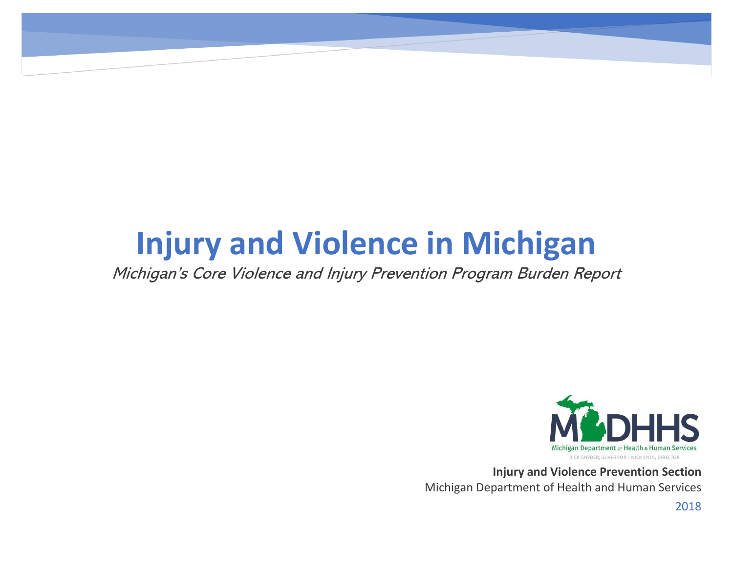# **Injury and Violence in Michigan**

Michigan's Core Violence and Injury Prevention Program Burden Report



**Injury and Violence Prevention Section** Michigan Department of Health and Human Services

2018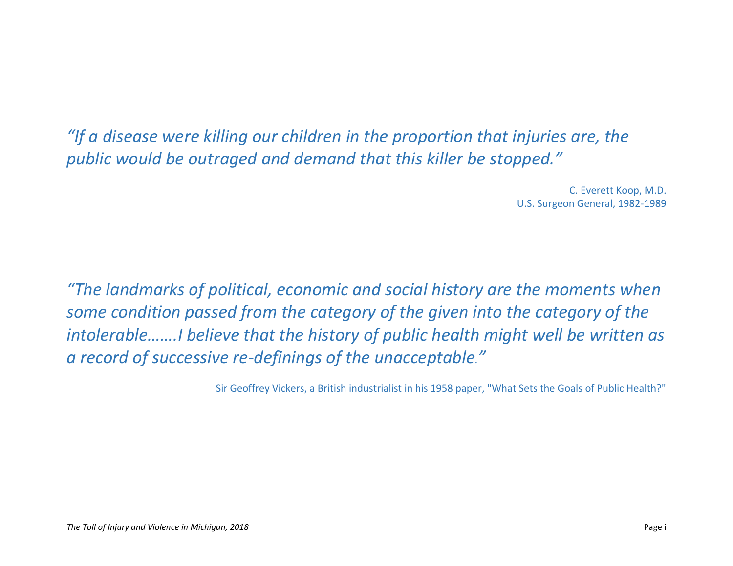*"If a disease were killing our children in the proportion that injuries are, the public would be outraged and demand that this killer be stopped."*

> <span id="page-1-0"></span>C. Everett Koop, M.D. U.S. Surgeon General, 1982-1989

*"The landmarks of political, economic and social history are the moments when some condition passed from the category of the given into the category of the intolerable…….I believe that the history of public health might well be written as a record of successive re-definings of the unacceptable."*

Sir Geoffrey Vickers, a British industrialist in his 1958 paper, "What Sets the Goals of Public Health?"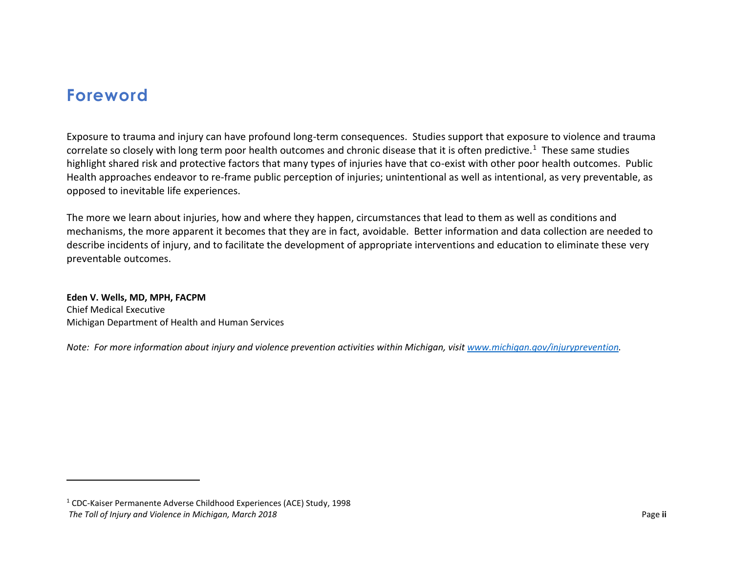### **Foreword**

 $\overline{\phantom{a}}$ 

Exposure to trauma and injury can have profound long-term consequences. Studies support that exposure to violence and trauma correlate so closely with long term poor health outcomes and chronic disease that it is often predictive.<sup>1</sup> These same studies highlight shared risk and protective factors that many types of injuries have that co-exist with other poor health outcomes. Public Health approaches endeavor to re-frame public perception of injuries; unintentional as well as intentional, as very preventable, as opposed to inevitable life experiences.

The more we learn about injuries, how and where they happen, circumstances that lead to them as well as conditions and mechanisms, the more apparent it becomes that they are in fact, avoidable. Better information and data collection are needed to describe incidents of injury, and to facilitate the development of appropriate interventions and education to eliminate these very preventable outcomes.

**Eden V. Wells, MD, MPH, FACPM** Chief Medical Executive Michigan Department of Health and Human Services

*Note: For more information about injury and violence prevention activities within Michigan, visi[t www.michigan.gov/injuryprevention.](http://www.michigan.gov/injuryprevention)*

*The Toll of Injury and Violence in Michigan, March 2018* Page **ii** <sup>1</sup> CDC-Kaiser Permanente Adverse Childhood Experiences (ACE) Study, 1998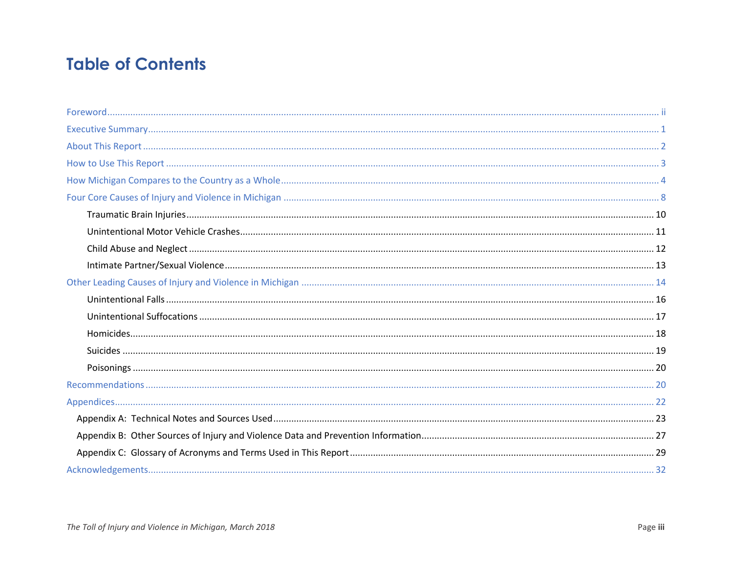# **Table of Contents**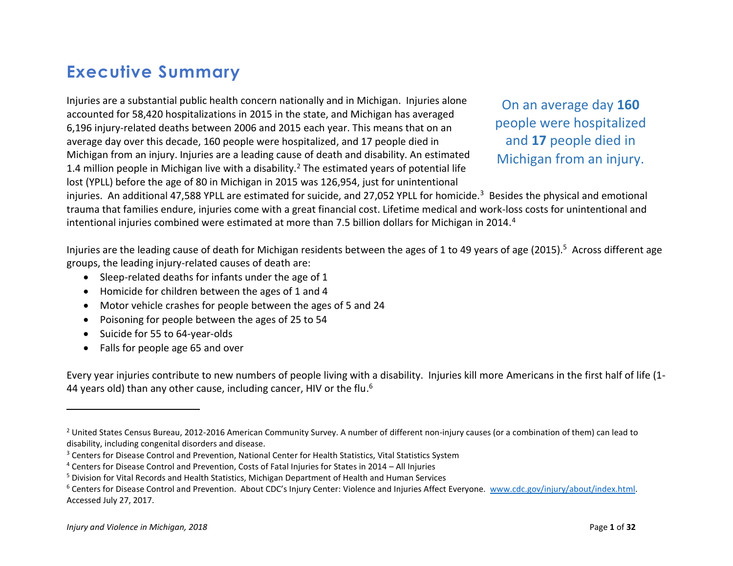# <span id="page-4-0"></span>**Executive Summary**

Injuries are a substantial public health concern nationally and in Michigan. Injuries alone accounted for 58,420 hospitalizations in 2015 in the state, and Michigan has averaged 6,196 injury-related deaths between 2006 and 2015 each year. This means that on an average day over this decade, 160 people were hospitalized, and 17 people died in Michigan from an injury. Injuries are a leading cause of death and disability. An estimated 1.4 million people in Michigan live with a disability.<sup>2</sup> The estimated years of potential life lost (YPLL) before the age of 80 in Michigan in 2015 was 126,954, just for unintentional

On an average day **160**  people were hospitalized and **17** people died in Michigan from an injury.

injuries. An additional 47,588 YPLL are estimated for suicide, and 27,052 YPLL for homicide.<sup>3</sup> Besides the physical and emotional trauma that families endure, injuries come with a great financial cost. Lifetime medical and work-loss costs for unintentional and intentional injuries combined were estimated at more than 7.5 billion dollars for Michigan in 2014.<sup>4</sup>

Injuries are the leading cause of death for Michigan residents between the ages of 1 to 49 years of age (2015).<sup>5</sup> Across different age groups, the leading injury-related causes of death are:

- Sleep-related deaths for infants under the age of 1
- Homicide for children between the ages of 1 and 4
- Motor vehicle crashes for people between the ages of 5 and 24
- Poisoning for people between the ages of 25 to 54
- Suicide for 55 to 64-year-olds
- Falls for people age 65 and over

Every year injuries contribute to new numbers of people living with a disability. Injuries kill more Americans in the first half of life (1- 44 years old) than any other cause, including cancer, HIV or the flu.<sup>6</sup>

 $\overline{a}$ 

 $<sup>2</sup>$  United States Census Bureau, 2012-2016 American Community Survey. A number of different non-injury causes (or a combination of them) can lead to</sup> disability, including congenital disorders and disease.

<sup>&</sup>lt;sup>3</sup> Centers for Disease Control and Prevention, National Center for Health Statistics, Vital Statistics System

<sup>4</sup> Centers for Disease Control and Prevention, Costs of Fatal Injuries for States in 2014 – All Injuries

<sup>5</sup> Division for Vital Records and Health Statistics, Michigan Department of Health and Human Services

<sup>&</sup>lt;sup>6</sup> Centers for Disease Control and Prevention. About CDC's Injury Center: Violence and Injuries Affect Everyone. [www.cdc.gov/injury/about/index.html.](http://www.cdc.gov/injury/about/index.html) Accessed July 27, 2017.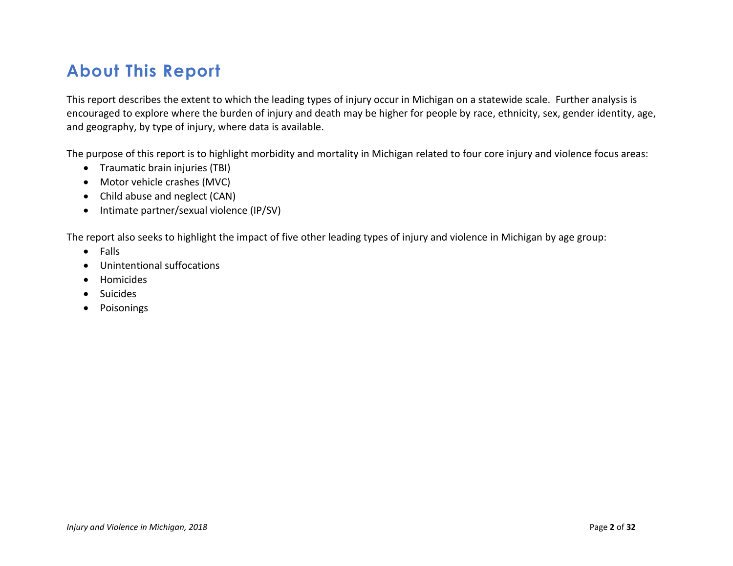# <span id="page-5-0"></span>**About This Report**

This report describes the extent to which the leading types of injury occur in Michigan on a statewide scale. Further analysis is encouraged to explore where the burden of injury and death may be higher for people by race, ethnicity, sex, gender identity, age, and geography, by type of injury, where data is available.

The purpose of this report is to highlight morbidity and mortality in Michigan related to four core injury and violence focus areas:

- Traumatic brain injuries (TBI)
- Motor vehicle crashes (MVC)
- Child abuse and neglect (CAN)
- Intimate partner/sexual violence (IP/SV)

The report also seeks to highlight the impact of five other leading types of injury and violence in Michigan by age group:

- Falls
- Unintentional suffocations
- Homicides
- Suicides
- Poisonings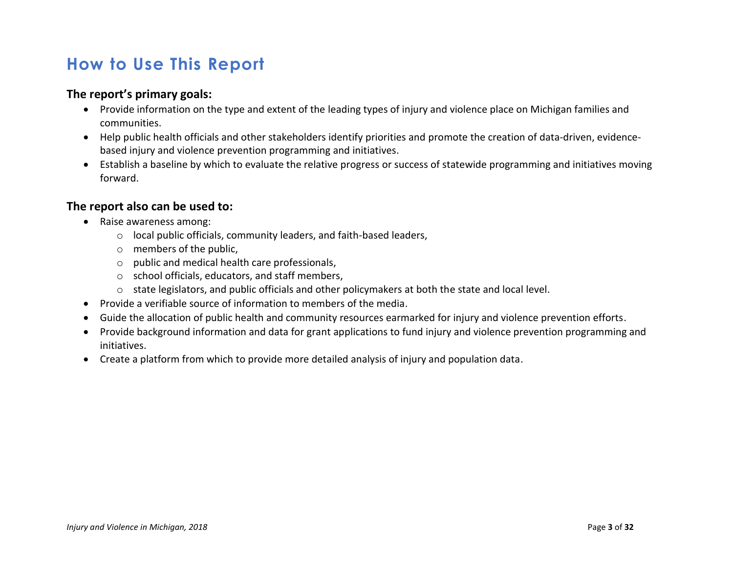# <span id="page-6-0"></span>**How to Use This Report**

#### **The report's primary goals:**

- Provide information on the type and extent of the leading types of injury and violence place on Michigan families and communities.
- Help public health officials and other stakeholders identify priorities and promote the creation of data-driven, evidencebased injury and violence prevention programming and initiatives.
- Establish a baseline by which to evaluate the relative progress or success of statewide programming and initiatives moving forward.

#### **The report also can be used to:**

- Raise awareness among:
	- o local public officials, community leaders, and faith-based leaders,
	- o members of the public,
	- o public and medical health care professionals,
	- o school officials, educators, and staff members,
	- o state legislators, and public officials and other policymakers at both the state and local level.
- Provide a verifiable source of information to members of the media.
- Guide the allocation of public health and community resources earmarked for injury and violence prevention efforts.
- Provide background information and data for grant applications to fund injury and violence prevention programming and initiatives.
- Create a platform from which to provide more detailed analysis of injury and population data.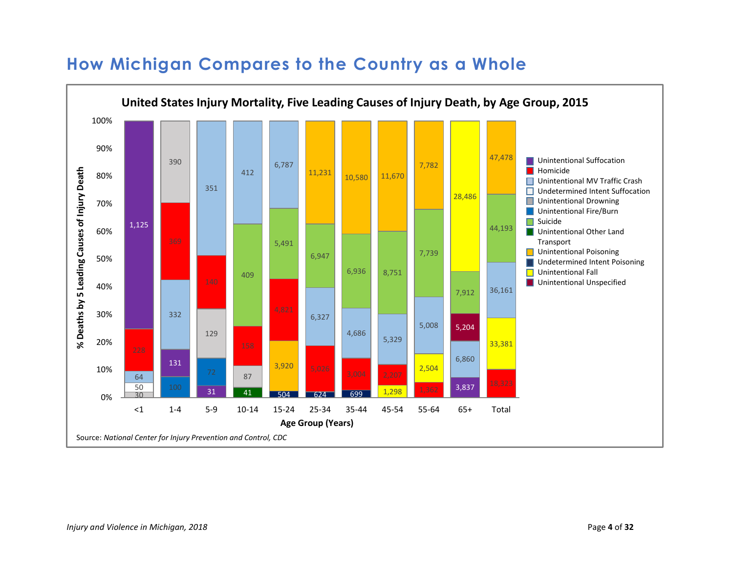

## <span id="page-7-0"></span>**How Michigan Compares to the Country as a Whole**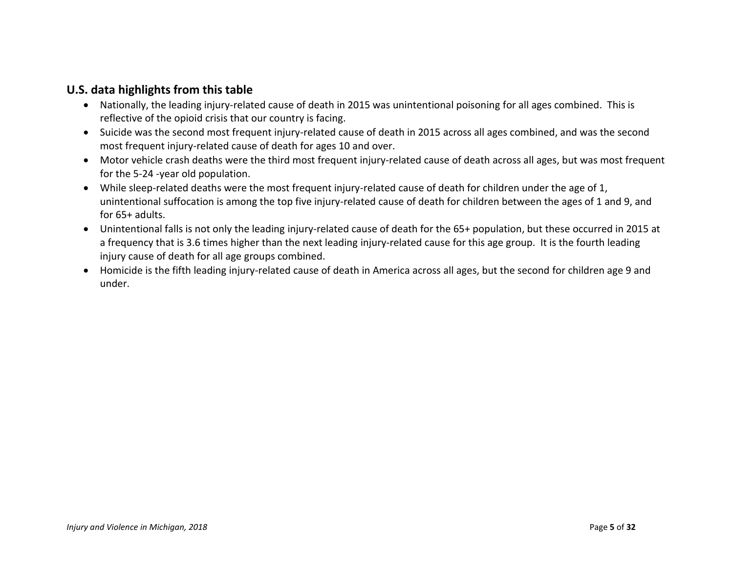#### **U.S. data highlights from this table**

- Nationally, the leading injury-related cause of death in 2015 was unintentional poisoning for all ages combined. This is reflective of the opioid crisis that our country is facing.
- Suicide was the second most frequent injury-related cause of death in 2015 across all ages combined, and was the second most frequent injury-related cause of death for ages 10 and over.
- Motor vehicle crash deaths were the third most frequent injury-related cause of death across all ages, but was most frequent for the 5-24 -year old population.
- While sleep-related deaths were the most frequent injury-related cause of death for children under the age of 1, unintentional suffocation is among the top five injury-related cause of death for children between the ages of 1 and 9, and for 65+ adults.
- Unintentional falls is not only the leading injury-related cause of death for the 65+ population, but these occurred in 2015 at a frequency that is 3.6 times higher than the next leading injury-related cause for this age group. It is the fourth leading injury cause of death for all age groups combined.
- Homicide is the fifth leading injury-related cause of death in America across all ages, but the second for children age 9 and under.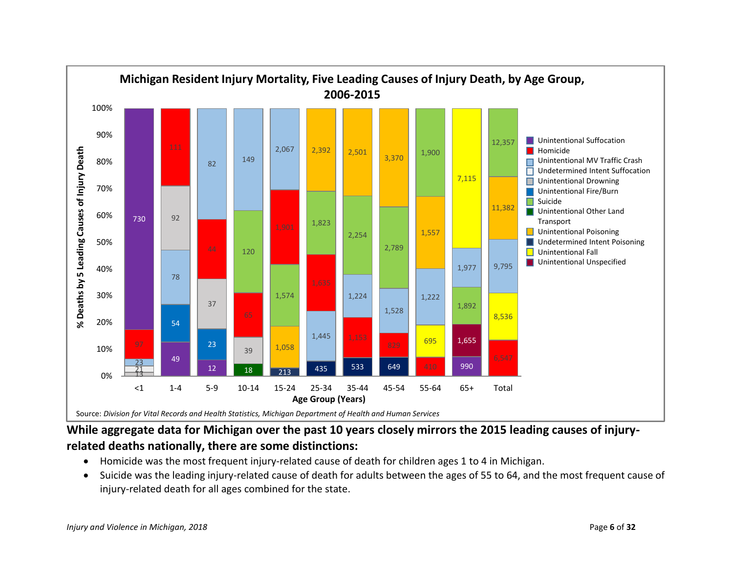

### **While aggregate data for Michigan over the past 10 years closely mirrors the 2015 leading causes of injuryrelated deaths nationally, there are some distinctions:**

- Homicide was the most frequent injury-related cause of death for children ages 1 to 4 in Michigan.
- Suicide was the leading injury-related cause of death for adults between the ages of 55 to 64, and the most frequent cause of injury-related death for all ages combined for the state.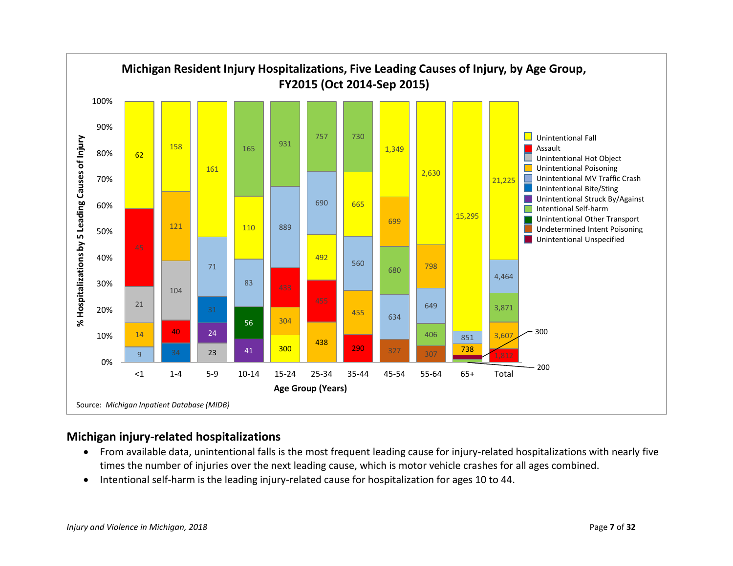

#### **Michigan injury-related hospitalizations**

- From available data, unintentional falls is the most frequent leading cause for injury-related hospitalizations with nearly five times the number of injuries over the next leading cause, which is motor vehicle crashes for all ages combined.
- Intentional self-harm is the leading injury-related cause for hospitalization for ages 10 to 44.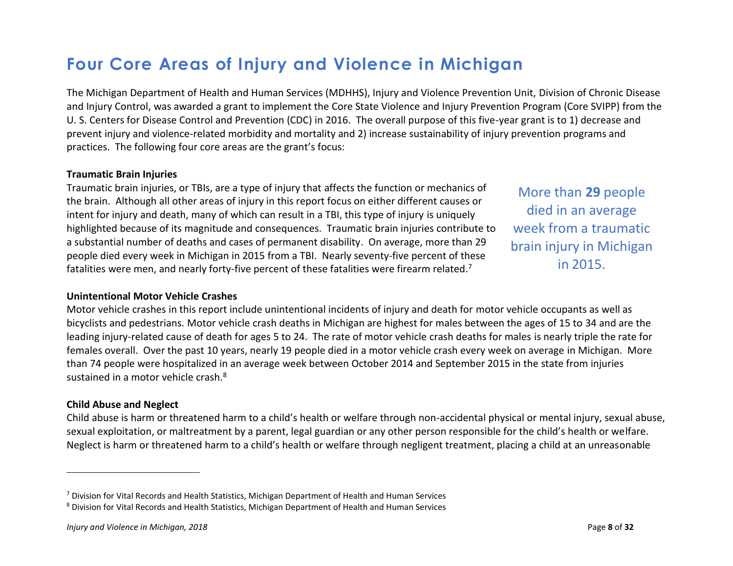# <span id="page-11-0"></span>**Four Core Areas of Injury and Violence in Michigan**

The Michigan Department of Health and Human Services (MDHHS), Injury and Violence Prevention Unit, Division of Chronic Disease and Injury Control, was awarded a grant to implement the Core State Violence and Injury Prevention Program (Core SVIPP) from the U. S. Centers for Disease Control and Prevention (CDC) in 2016. The overall purpose of this five-year grant is to 1) decrease and prevent injury and violence-related morbidity and mortality and 2) increase sustainability of injury prevention programs and practices. The following four core areas are the grant's focus:

#### **Traumatic Brain Injuries**

Traumatic brain injuries, or TBIs, are a type of injury that affects the function or mechanics of the brain. Although all other areas of injury in this report focus on either different causes or intent for injury and death, many of which can result in a TBI, this type of injury is uniquely highlighted because of its magnitude and consequences. Traumatic brain injuries contribute to a substantial number of deaths and cases of permanent disability. On average, more than 29 people died every week in Michigan in 2015 from a TBI. Nearly seventy-five percent of these fatalities were men, and nearly forty-five percent of these fatalities were firearm related.<sup>7</sup>

More than **29** people died in an average week from a traumatic brain injury in Michigan in 2015.

#### **Unintentional Motor Vehicle Crashes**

Motor vehicle crashes in this report include unintentional incidents of injury and death for motor vehicle occupants as well as bicyclists and pedestrians. Motor vehicle crash deaths in Michigan are highest for males between the ages of 15 to 34 and are the leading injury-related cause of death for ages 5 to 24. The rate of motor vehicle crash deaths for males is nearly triple the rate for females overall. Over the past 10 years, nearly 19 people died in a motor vehicle crash every week on average in Michigan. More than 74 people were hospitalized in an average week between October 2014 and September 2015 in the state from injuries sustained in a motor vehicle crash.<sup>8</sup>

#### **Child Abuse and Neglect**

 $\overline{a}$ 

Child abuse is harm or threatened harm to a child's health or welfare through non-accidental physical or mental injury, sexual abuse, sexual exploitation, or maltreatment by a parent, legal guardian or any other person responsible for the child's health or welfare. Neglect is harm or threatened harm to a child's health or welfare through negligent treatment, placing a child at an unreasonable

 $7$  Division for Vital Records and Health Statistics, Michigan Department of Health and Human Services

<sup>8</sup> Division for Vital Records and Health Statistics, Michigan Department of Health and Human Services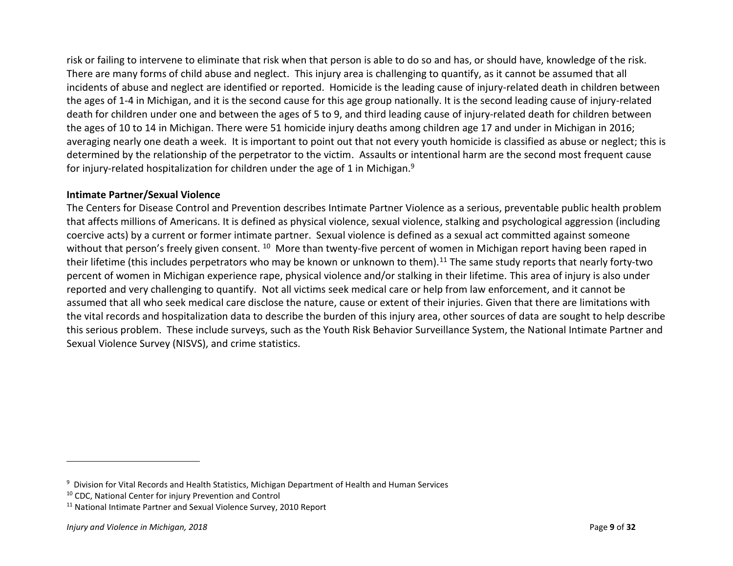risk or failing to intervene to eliminate that risk when that person is able to do so and has, or should have, knowledge of the risk. There are many forms of child abuse and neglect. This injury area is challenging to quantify, as it cannot be assumed that all incidents of abuse and neglect are identified or reported. Homicide is the leading cause of injury-related death in children between the ages of 1-4 in Michigan, and it is the second cause for this age group nationally. It is the second leading cause of injury-related death for children under one and between the ages of 5 to 9, and third leading cause of injury-related death for children between the ages of 10 to 14 in Michigan. There were 51 homicide injury deaths among children age 17 and under in Michigan in 2016; averaging nearly one death a week. It is important to point out that not every youth homicide is classified as abuse or neglect; this is determined by the relationship of the perpetrator to the victim. Assaults or intentional harm are the second most frequent cause for injury-related hospitalization for children under the age of 1 in Michigan.<sup>9</sup>

#### **Intimate Partner/Sexual Violence**

The Centers for Disease Control and Prevention describes Intimate Partner Violence as a serious, preventable public health problem that affects millions of Americans. It is defined as physical violence, sexual violence, stalking and psychological aggression (including coercive acts) by a current or former intimate partner. Sexual violence is defined as a sexual act committed against someone without that person's freely given consent. <sup>10</sup> More than twenty-five percent of women in Michigan report having been raped in their lifetime (this includes perpetrators who may be known or unknown to them).<sup>11</sup> The same study reports that nearly forty-two percent of women in Michigan experience rape, physical violence and/or stalking in their lifetime. This area of injury is also under reported and very challenging to quantify. Not all victims seek medical care or help from law enforcement, and it cannot be assumed that all who seek medical care disclose the nature, cause or extent of their injuries. Given that there are limitations with the vital records and hospitalization data to describe the burden of this injury area, other sources of data are sought to help describe this serious problem. These include surveys, such as the Youth Risk Behavior Surveillance System, the National Intimate Partner and Sexual Violence Survey (NISVS), and crime statistics.

 $\overline{\phantom{a}}$ 

<sup>&</sup>lt;sup>9</sup> Division for Vital Records and Health Statistics, Michigan Department of Health and Human Services

<sup>10</sup> CDC, National Center for injury Prevention and Control

<sup>&</sup>lt;sup>11</sup> National Intimate Partner and Sexual Violence Survey, 2010 Report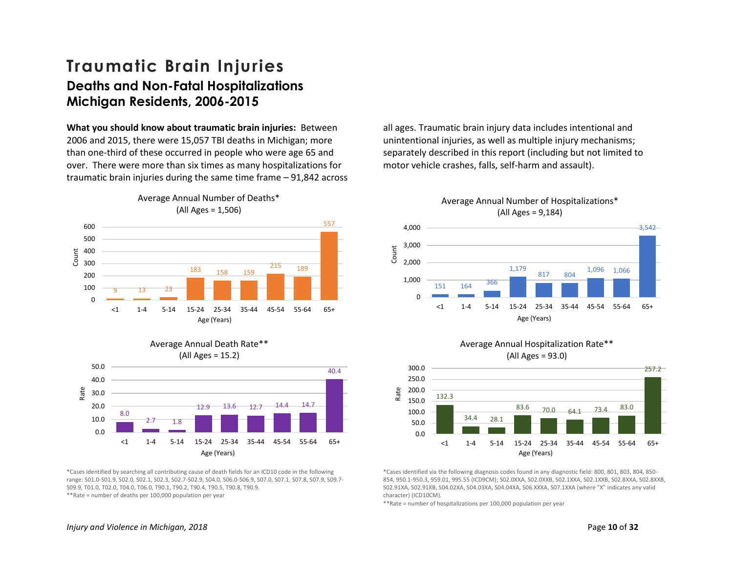### <span id="page-13-0"></span>**Traumatic Brain Injuries Deaths and Non-Fatal Hospitalizations Michigan Residents, 2006-2015**

**What you should know about traumatic brain injuries:** Between 2006 and 2015, there were 15,057 TBI deaths in Michigan; more than one-third of these occurred in people who were age 65 and over. There were more than six times as many hospitalizations for traumatic brain injuries during the same time frame – 91,842 across



8.0  $2.7 \t 1.8$ 12.9 13.6 12.7 14.4 14.7 40.4 0.0 10.0 20.0 30.0 40.0 50.0 <1 1-4 5-14 15-24 25-34 35-44 45-54 55-64 65+ Rate Age (Years) Average Annual Death Rate\*\* (All Ages = 15.2)

\*Cases identified by searching all contributing cause of death fields for an ICD10 code in the following range: S01.0-S01.9, S02.0, S02.1, S02.3, S02.7-S02.9, S04.0, S06.0-S06.9, S07.0, S07.1, S07.8, S07.9, S09.7- S09.9, T01.0, T02.0, T04.0, T06.0, T90.1, T90.2, T90.4, T90.5, T90.8, T90.9. \*\*Rate = number of deaths per 100,000 population per year

all ages. Traumatic brain injury data includes intentional and unintentional injuries, as well as multiple injury mechanisms; separately described in this report (including but not limited to motor vehicle crashes, falls, self-harm and assault).



Average Annual Number of Hospitalizations\*





\*Cases identified via the following diagnosis codes found in any diagnostic field: 800, 801, 803, 804, 850- 854, 950.1-950.3, 959.01, 995.55 (ICD9CM); S02.0XXA, S02.0XXB, S02.1XXA, S02.1XXB, S02.8XXA, S02.8XXB, S02.91XA, S02.91XB, S04.02XA, S04.03XA, S04.04XA, S06.XXXA, S07.1XXA (where "X" indicates any valid character) (ICD10CM).

\*\*Rate = number of hospitalizations per 100,000 population per year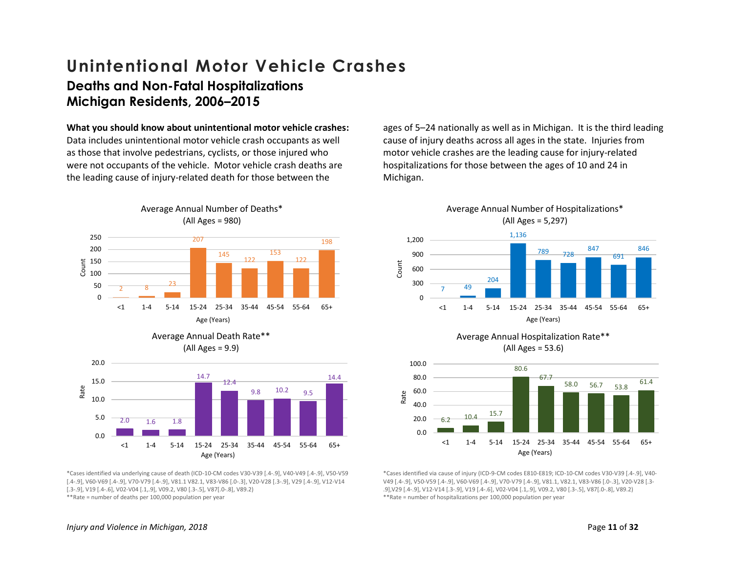### <span id="page-14-0"></span>**Unintentional Motor Vehicle Crashes Deaths and Non-Fatal Hospitalizations Michigan Residents, 2006–2015**

#### **What you should know about unintentional motor vehicle crashes:**

Data includes unintentional motor vehicle crash occupants as well as those that involve pedestrians, cyclists, or those injured who were not occupants of the vehicle. Motor vehicle crash deaths are the leading cause of injury-related death for those between the



Average Annual Number of Deaths\*





\*Cases identified via underlying cause of death (ICD-10-CM codes V30-V39 [.4-.9], V40-V49 [.4-.9], V50-V59 [.4-.9], V60-V69 [.4-.9], V70-V79 [.4-.9], V81.1 V82.1, V83-V86 [.0-.3], V20-V28 [.3-.9], V29 [.4-.9], V12-V14 [.3-.9], V19 [.4-.6], V02-V04 [.1,.9], V09.2, V80 [.3-.5], V87[.0-.8], V89.2) \*\*Rate = number of deaths per 100,000 population per year

ages of 5–24 nationally as well as in Michigan. It is the third leading cause of injury deaths across all ages in the state. Injuries from motor vehicle crashes are the leading cause for injury-related hospitalizations for those between the ages of 10 and 24 in Michigan.









\*Cases identified via cause of injury (ICD-9-CM codes E810-E819; ICD-10-CM codes V30-V39 [.4-.9], V40- V49 [.4-.9], V50-V59 [.4-.9], V60-V69 [.4-.9], V70-V79 [.4-.9], V81.1, V82.1, V83-V86 [.0-.3], V20-V28 [.3- .9],V29 [.4-.9], V12-V14 [.3-.9], V19 [.4-.6], V02-V04 [.1,.9], V09.2, V80 [.3-.5], V87[.0-.8], V89.2) \*\*Rate = number of hospitalizations per 100,000 population per year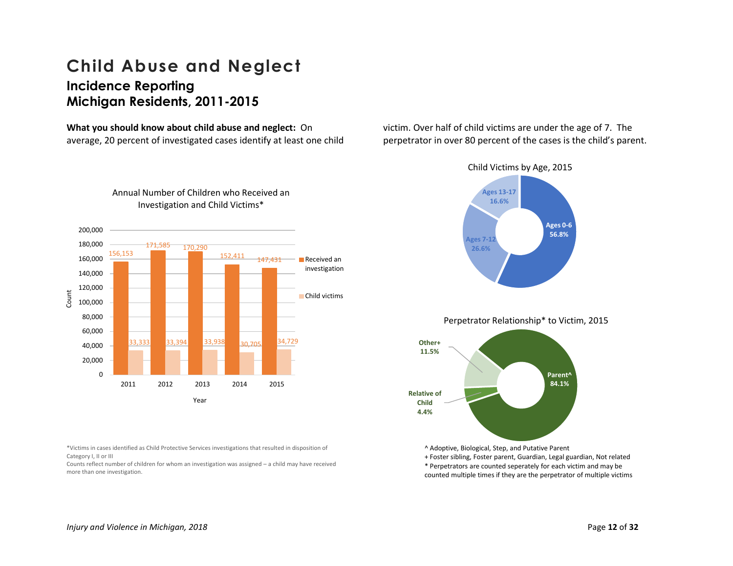### <span id="page-15-0"></span>**Child Abuse and Neglect Incidence Reporting Michigan Residents, 2011-2015**

**What you should know about child abuse and neglect:** On average, 20 percent of investigated cases identify at least one child victim. Over half of child victims are under the age of 7. The perpetrator in over 80 percent of the cases is the child's parent.







\* Perpetrators are counted seperately for each victim and may be

counted multiple times if they are the perpetrator of multiple victims

### 200,000 Annual Number of Children who Received an Investigation and Child Victims\*



\*Victims in cases identified as Child Protective Services investigations that resulted in disposition of Category I, II or III

Counts reflect number of children for whom an investigation was assigned – a child may have received more than one investigation.

*Injury and Violence in Michigan, 2018* Page **12** of **32**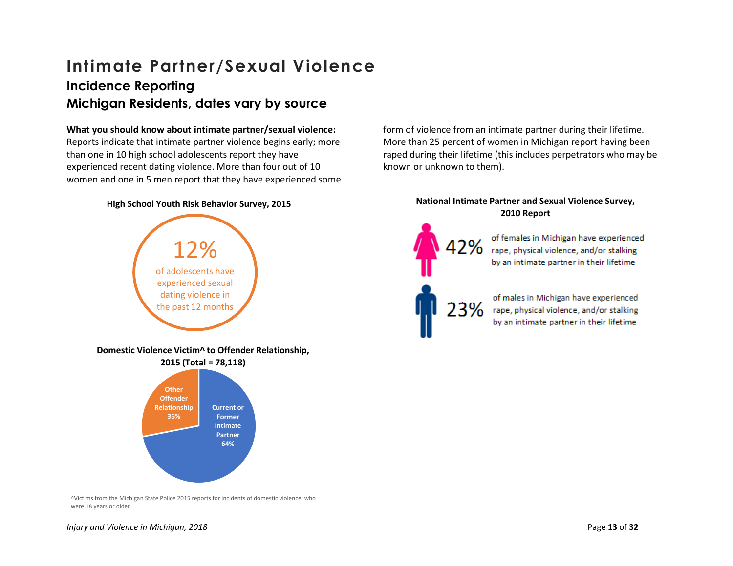## <span id="page-16-0"></span>**Intimate Partner/Sexual Violence Incidence Reporting Michigan Residents, dates vary by source**

#### **What you should know about intimate partner/sexual violence:**

Reports indicate that intimate partner violence begins early; more than one in 10 high school adolescents report they have experienced recent dating violence. More than four out of 10 women and one in 5 men report that they have experienced some

#### **High School Youth Risk Behavior Survey, 2015**



form of violence from an intimate partner during their lifetime. More than 25 percent of women in Michigan report having been raped during their lifetime (this includes perpetrators who may be known or unknown to them).

#### **National Intimate Partner and Sexual Violence Survey, 2010 Report**

of females in Michigan have experienced rape, physical violence, and/or stalking by an intimate partner in their lifetime

of males in Michigan have experienced rape, physical violence, and/or stalking by an intimate partner in their lifetime

^Victims from the Michigan State Police 2015 reports for incidents of domestic violence, who were 18 years or older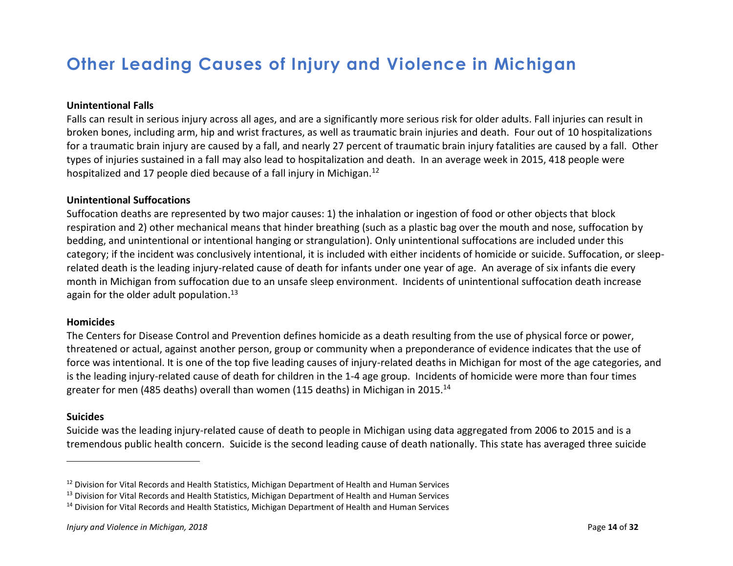# <span id="page-17-0"></span>**Other Leading Causes of Injury and Violence in Michigan**

#### **Unintentional Falls**

Falls can result in serious injury across all ages, and are a significantly more serious risk for older adults. Fall injuries can result in broken bones, including arm, hip and wrist fractures, as well as traumatic brain injuries and death. Four out of 10 hospitalizations for a traumatic brain injury are caused by a fall, and nearly 27 percent of traumatic brain injury fatalities are caused by a fall. Other types of injuries sustained in a fall may also lead to hospitalization and death. In an average week in 2015, 418 people were hospitalized and 17 people died because of a fall injury in Michigan.<sup>12</sup>

#### **Unintentional Suffocations**

Suffocation deaths are represented by two major causes: 1) the inhalation or ingestion of food or other objects that block respiration and 2) other mechanical means that hinder breathing (such as a plastic bag over the mouth and nose, suffocation by bedding, and unintentional or intentional hanging or strangulation). Only unintentional suffocations are included under this category; if the incident was conclusively intentional, it is included with either incidents of homicide or suicide. Suffocation, or sleeprelated death is the leading injury-related cause of death for infants under one year of age. An average of six infants die every month in Michigan from suffocation due to an unsafe sleep environment. Incidents of unintentional suffocation death increase again for the older adult population. $13$ 

#### **Homicides**

The Centers for Disease Control and Prevention defines homicide as a death resulting from the use of physical force or power, threatened or actual, against another person, group or community when a preponderance of evidence indicates that the use of force was intentional. It is one of the top five leading causes of injury-related deaths in Michigan for most of the age categories, and is the leading injury-related cause of death for children in the 1-4 age group. Incidents of homicide were more than four times greater for men (485 deaths) overall than women (115 deaths) in Michigan in 2015.<sup>14</sup>

#### **Suicides**

 $\overline{\phantom{a}}$ 

Suicide was the leading injury-related cause of death to people in Michigan using data aggregated from 2006 to 2015 and is a tremendous public health concern. Suicide is the second leading cause of death nationally. This state has averaged three suicide

<sup>&</sup>lt;sup>12</sup> Division for Vital Records and Health Statistics, Michigan Department of Health and Human Services

<sup>&</sup>lt;sup>13</sup> Division for Vital Records and Health Statistics, Michigan Department of Health and Human Services

<sup>&</sup>lt;sup>14</sup> Division for Vital Records and Health Statistics, Michigan Department of Health and Human Services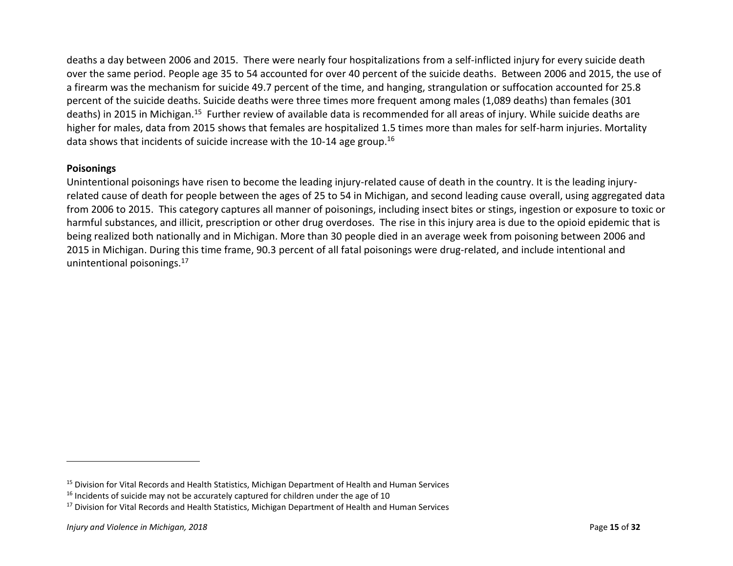deaths a day between 2006 and 2015. There were nearly four hospitalizations from a self-inflicted injury for every suicide death over the same period. People age 35 to 54 accounted for over 40 percent of the suicide deaths. Between 2006 and 2015, the use of a firearm was the mechanism for suicide 49.7 percent of the time, and hanging, strangulation or suffocation accounted for 25.8 percent of the suicide deaths. Suicide deaths were three times more frequent among males (1,089 deaths) than females (301 deaths) in 2015 in Michigan.<sup>15</sup> Further review of available data is recommended for all areas of injury. While suicide deaths are higher for males, data from 2015 shows that females are hospitalized 1.5 times more than males for self-harm injuries. Mortality data shows that incidents of suicide increase with the 10-14 age group.<sup>16</sup>

#### **Poisonings**

Unintentional poisonings have risen to become the leading injury-related cause of death in the country. It is the leading injuryrelated cause of death for people between the ages of 25 to 54 in Michigan, and second leading cause overall, using aggregated data from 2006 to 2015. This category captures all manner of poisonings, including insect bites or stings, ingestion or exposure to toxic or harmful substances, and illicit, prescription or other drug overdoses. The rise in this injury area is due to the opioid epidemic that is being realized both nationally and in Michigan. More than 30 people died in an average week from poisoning between 2006 and 2015 in Michigan. During this time frame, 90.3 percent of all fatal poisonings were drug-related, and include intentional and unintentional poisonings.<sup>17</sup>

 $\overline{\phantom{a}}$ 

<sup>&</sup>lt;sup>15</sup> Division for Vital Records and Health Statistics, Michigan Department of Health and Human Services

 $16$  Incidents of suicide may not be accurately captured for children under the age of 10

<sup>&</sup>lt;sup>17</sup> Division for Vital Records and Health Statistics, Michigan Department of Health and Human Services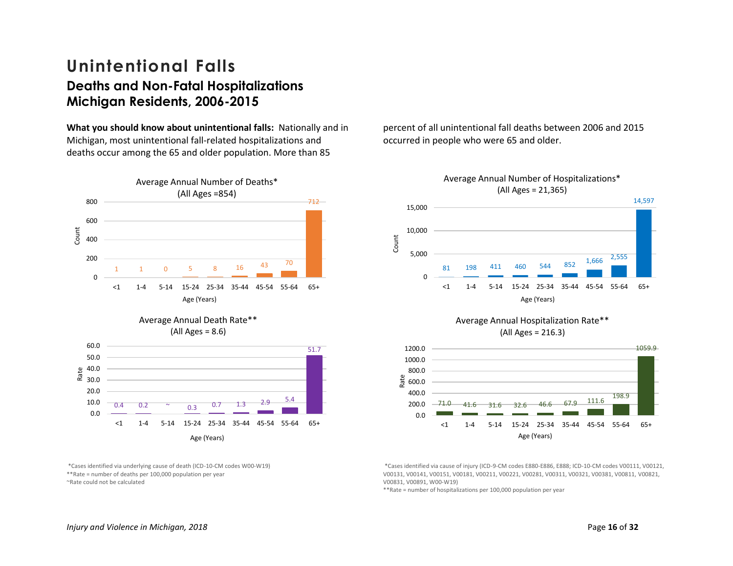### <span id="page-19-0"></span>**Unintentional Falls Deaths and Non-Fatal Hospitalizations Michigan Residents, 2006-2015**

**What you should know about unintentional falls:** Nationally and in Michigan, most unintentional fall-related hospitalizations and deaths occur among the 65 and older population. More than 85



\*Cases identified via underlying cause of death (ICD-10-CM codes W00-W19) \*\*Rate = number of deaths per 100,000 population per year ~Rate could not be calculated

percent of all unintentional fall deaths between 2006 and 2015 occurred in people who were 65 and older.



 $71.0$   $41.6$   $31.6$   $32.6$   $46.6$   $67.9$   $111.6$ 0.0 <1 1-4 5-14 15-24 25-34 35-44 45-54 55-64 65+ Age (Years)

\*Cases identified via cause of injury (ICD-9-CM codes E880-E886, E888; ICD-10-CM codes V00111, V00121, V00131, V00141, V00151, V00181, V00211, V00221, V00281, V00311, V00321, V00381, V00811, V00821, V00831, V00891, W00-W19)

\*\*Rate = number of hospitalizations per 100,000 population per year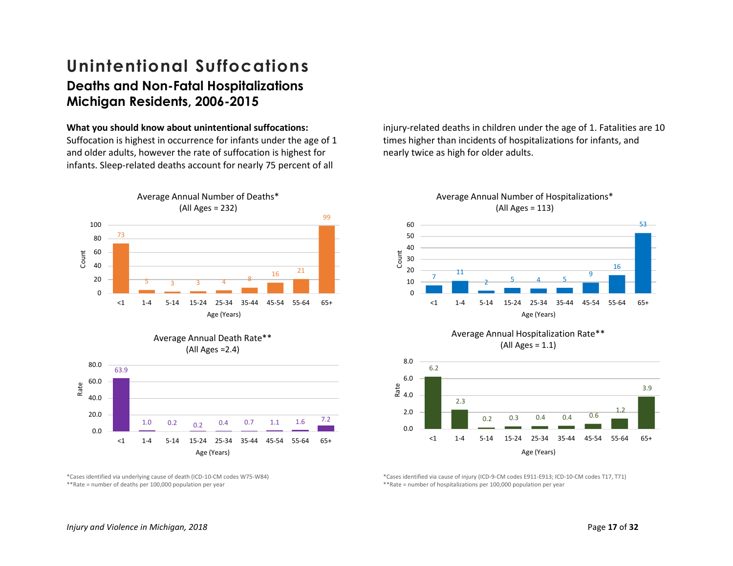### <span id="page-20-0"></span>**Unintentional Suffocations Deaths and Non-Fatal Hospitalizations Michigan Residents, 2006-2015**

#### **What you should know about unintentional suffocations:**

Suffocation is highest in occurrence for infants under the age of 1 and older adults, however the rate of suffocation is highest for infants. Sleep-related deaths account for nearly 75 percent of all





\*Cases identified via underlying cause of death (ICD-10-CM codes W75-W84) \*\*Rate = number of deaths per 100,000 population per year

injury-related deaths in children under the age of 1. Fatalities are 10 times higher than incidents of hospitalizations for infants, and nearly twice as high for older adults.



 $(AII \text{ Ages} = 1.1)$ 



\*Cases identified via cause of injury (ICD-9-CM codes E911-E913; ICD-10-CM codes T17, T71) \*\*Rate = number of hospitalizations per 100,000 population per year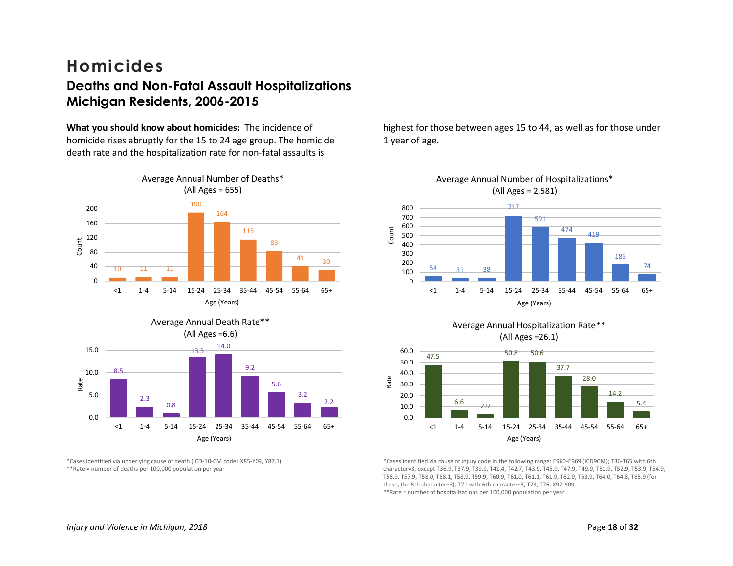### <span id="page-21-0"></span>**Homicides Deaths and Non-Fatal Assault Hospitalizations Michigan Residents, 2006-2015**

**What you should know about homicides:** The incidence of homicide rises abruptly for the 15 to 24 age group. The homicide death rate and the hospitalization rate for non-fatal assaults is







\*Cases identified via underlying cause of death (ICD-10-CM codes X85-Y09, Y87.1) \*\*Rate = number of deaths per 100,000 population per year

highest for those between ages 15 to 44, as well as for those under 1 year of age.

Average Annual Number of Hospitalizations\*







\*Cases identified via cause of injury code in the following range: E960-E969 (ICD9CM); T36-T65 with 6th character=3, except T36.9, T37.9, T39.9, T41.4, T42.7, T43.9, T45.9, T47.9, T49.9, T51.9, T52.9, T53.9, T54.9, T56.9, T57.9, T58.0, T58.1, T58.9, T59.9, T60.9, T61.0, T61.1, T61.9, T62.9, T63.9, T64.0, T64.8, T65.9 (for these, the 5th character=3), T71 with 6th character=3, T74, T76, X92-Y09 \*\*Rate = number of hospitalizations per 100,000 population per year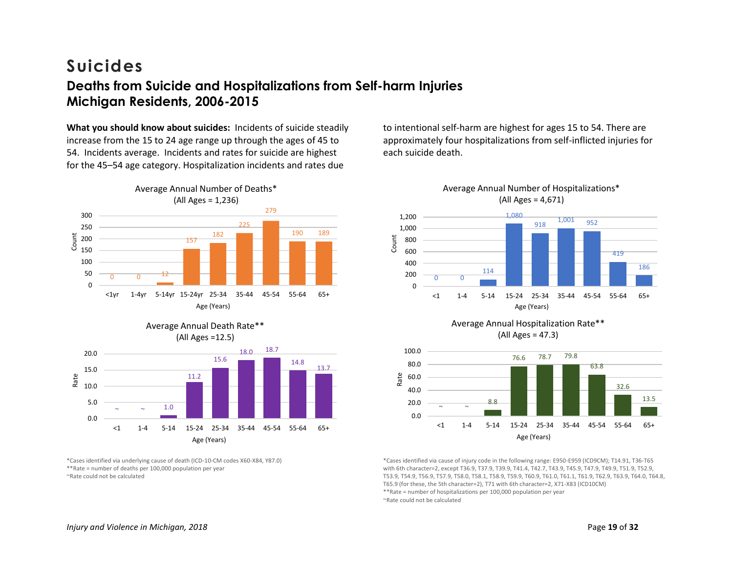### <span id="page-22-0"></span>**Suicides Deaths from Suicide and Hospitalizations from Self-harm Injuries Michigan Residents, 2006-2015**

**What you should know about suicides:** Incidents of suicide steadily increase from the 15 to 24 age range up through the ages of 45 to 54. Incidents average. Incidents and rates for suicide are highest for the 45–54 age category. Hospitalization incidents and rates due





Average Annual Death Rate\*\*

\*Cases identified via underlying cause of death (ICD-10-CM codes X60-X84, Y87.0) \*\*Rate = number of deaths per 100,000 population per year ~Rate could not be calculated

to intentional self-harm are highest for ages 15 to 54. There are approximately four hospitalizations from self-inflicted injuries for each suicide death.







\*Cases identified via cause of injury code in the following range: E950-E959 (ICD9CM); T14.91, T36-T65 with 6th character=2, except T36.9, T37.9, T39.9, T41.4, T42.7, T43.9, T45.9, T47.9, T49.9, T51.9, T52.9, T53.9, T54.9, T56.9, T57.9, T58.0, T58.1, T58.9, T59.9, T60.9, T61.0, T61.1, T61.9, T62.9, T63.9, T64.0, T64.8, T65.9 (for these, the 5th character=2), T71 with 6th character=2, X71-X83 (ICD10CM) \*\*Rate = number of hospitalizations per 100,000 population per year ~Rate could not be calculated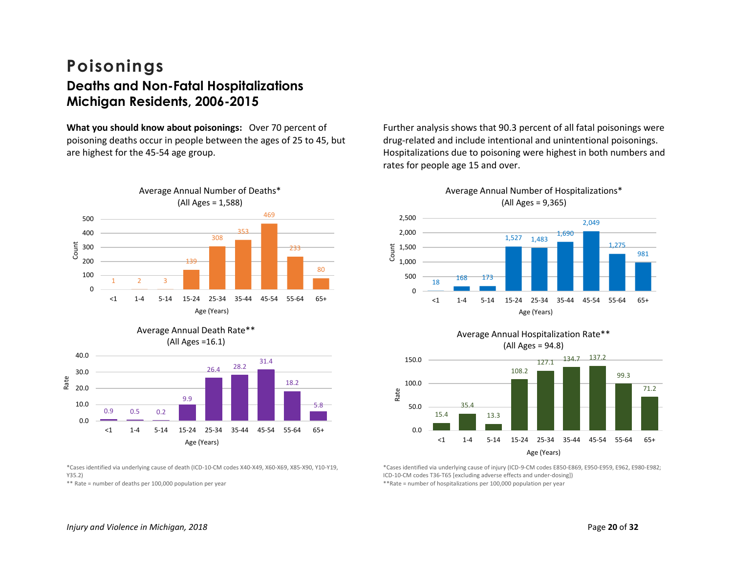### <span id="page-23-0"></span>**Poisonings Deaths and Non-Fatal Hospitalizations Michigan Residents, 2006-2015**

**What you should know about poisonings:** Over 70 percent of poisoning deaths occur in people between the ages of 25 to 45, but are highest for the 45-54 age group.





<span id="page-23-1"></span>

\*Cases identified via underlying cause of death (ICD-10-CM codes X40-X49, X60-X69, X85-X90, Y10-Y19, Y35.2)

\*\* Rate = number of deaths per 100,000 population per year

Further analysis shows that 90.3 percent of all fatal poisonings were drug-related and include intentional and unintentional poisonings. Hospitalizations due to poisoning were highest in both numbers and rates for people age 15 and over.





\*Cases identified via underlying cause of injury (ICD-9-CM codes E850-E869, E950-E959, E962, E980-E982; ICD-10-CM codes T36-T65 [excluding adverse effects and under-dosing])

\*\*Rate = number of hospitalizations per 100,000 population per year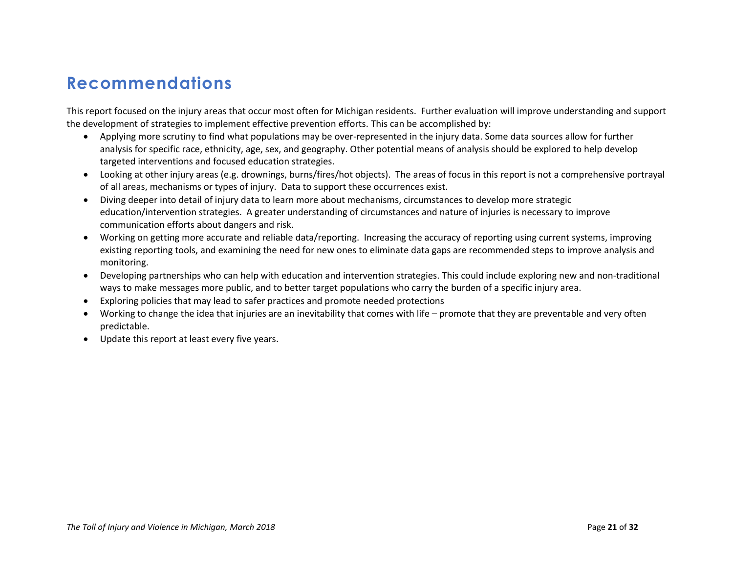# **Recommendations**

This report focused on the injury areas that occur most often for Michigan residents. Further evaluation will improve understanding and support the development of strategies to implement effective prevention efforts. This can be accomplished by:

- Applying more scrutiny to find what populations may be over-represented in the injury data. Some data sources allow for further analysis for specific race, ethnicity, age, sex, and geography. Other potential means of analysis should be explored to help develop targeted interventions and focused education strategies.
- Looking at other injury areas (e.g. drownings, burns/fires/hot objects). The areas of focus in this report is not a comprehensive portrayal of all areas, mechanisms or types of injury. Data to support these occurrences exist.
- Diving deeper into detail of injury data to learn more about mechanisms, circumstances to develop more strategic education/intervention strategies. A greater understanding of circumstances and nature of injuries is necessary to improve communication efforts about dangers and risk.
- Working on getting more accurate and reliable data/reporting. Increasing the accuracy of reporting using current systems, improving existing reporting tools, and examining the need for new ones to eliminate data gaps are recommended steps to improve analysis and monitoring.
- Developing partnerships who can help with education and intervention strategies. This could include exploring new and non-traditional ways to make messages more public, and to better target populations who carry the burden of a specific injury area.
- Exploring policies that may lead to safer practices and promote needed protections
- Working to change the idea that injuries are an inevitability that comes with life promote that they are preventable and very often predictable.
- Update this report at least every five years.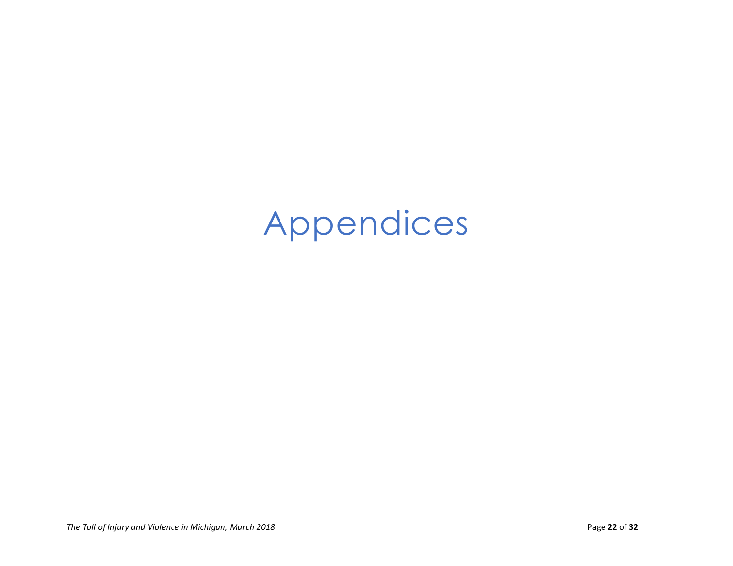# <span id="page-25-0"></span>Appendices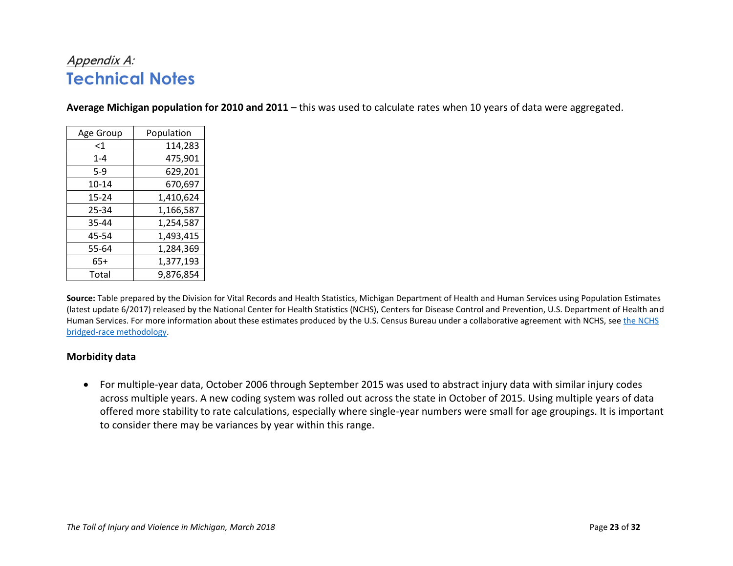### <span id="page-26-0"></span>Appendix A: **Technical Notes**

**Average Michigan population for 2010 and 2011** – this was used to calculate rates when 10 years of data were aggregated.

| Age Group | Population |  |  |
|-----------|------------|--|--|
| $\leq$ 1  | 114,283    |  |  |
| $1 - 4$   | 475,901    |  |  |
| 5-9       | 629,201    |  |  |
| 10-14     | 670,697    |  |  |
| 15-24     | 1,410,624  |  |  |
| 25-34     | 1,166,587  |  |  |
| 35-44     | 1,254,587  |  |  |
| 45-54     | 1,493,415  |  |  |
| 55-64     | 1,284,369  |  |  |
| 65+       | 1,377,193  |  |  |
| Total     | 9,876,854  |  |  |

**Source:** Table prepared by the Division for Vital Records and Health Statistics, Michigan Department of Health and Human Services using Population Estimates (latest update 6/2017) released by the National Center for Health Statistics (NCHS), Centers for Disease Control and Prevention, U.S. Department of Health and Human Services. For more information about these estimates produced by the U.S. Census Bureau under a collaborative agreement with NCHS, see the NCHS [bridged-race methodology.](http://www.cdc.gov/nchs/nvss/bridged_race.htm)

#### **Morbidity data**

• For multiple-year data, October 2006 through September 2015 was used to abstract injury data with similar injury codes across multiple years. A new coding system was rolled out across the state in October of 2015. Using multiple years of data offered more stability to rate calculations, especially where single-year numbers were small for age groupings. It is important to consider there may be variances by year within this range.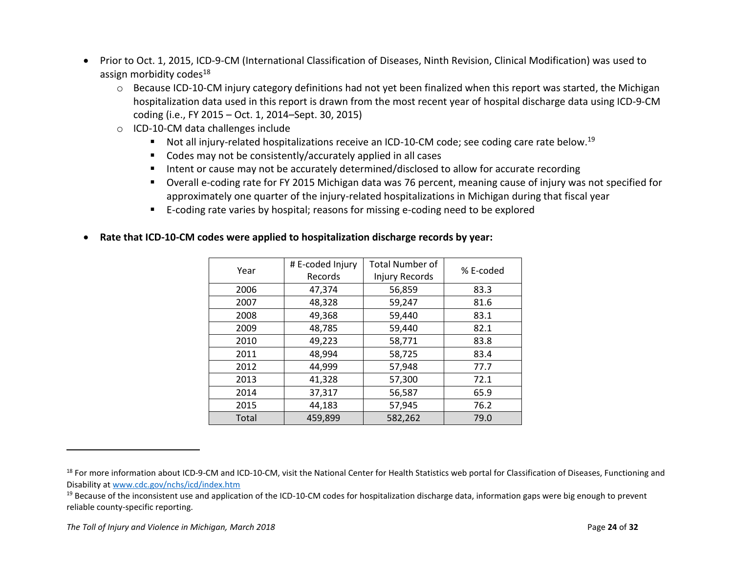- Prior to Oct. 1, 2015, ICD-9-CM (International Classification of Diseases, Ninth Revision, Clinical Modification) was used to assign morbidity codes $18$ 
	- $\circ$  Because ICD-10-CM injury category definitions had not yet been finalized when this report was started, the Michigan hospitalization data used in this report is drawn from the most recent year of hospital discharge data using ICD-9-CM coding (i.e., FY 2015 – Oct. 1, 2014–Sept. 30, 2015)
	- o ICD-10-CM data challenges include
		- Not all injury-related hospitalizations receive an ICD-10-CM code; see coding care rate below.<sup>19</sup>
		- Codes may not be consistently/accurately applied in all cases
		- Intent or cause may not be accurately determined/disclosed to allow for accurate recording
		- Overall e-coding rate for FY 2015 Michigan data was 76 percent, meaning cause of injury was not specified for approximately one quarter of the injury-related hospitalizations in Michigan during that fiscal year
		- E-coding rate varies by hospital; reasons for missing e-coding need to be explored

| Year  | # E-coded Injury<br>Records | <b>Total Number of</b><br>Injury Records | % E-coded |
|-------|-----------------------------|------------------------------------------|-----------|
| 2006  | 47,374                      | 56,859                                   | 83.3      |
| 2007  | 48,328                      | 59,247                                   | 81.6      |
| 2008  | 49,368                      | 59,440                                   | 83.1      |
| 2009  | 48,785                      | 59,440                                   | 82.1      |
| 2010  | 49,223                      | 58,771                                   | 83.8      |
| 2011  | 48,994                      | 58,725                                   | 83.4      |
| 2012  | 44,999                      | 57,948                                   | 77.7      |
| 2013  | 41,328                      | 57,300                                   | 72.1      |
| 2014  | 37,317                      | 56,587                                   | 65.9      |
| 2015  | 44,183                      | 57,945                                   | 76.2      |
| Total | 459,899                     | 582,262                                  | 79.0      |

#### • **Rate that ICD-10-CM codes were applied to hospitalization discharge records by year:**

 $\overline{\phantom{a}}$ 

<sup>&</sup>lt;sup>18</sup> For more information about ICD-9-CM and ICD-10-CM, visit the National Center for Health Statistics web portal for Classification of Diseases, Functioning and Disability at [www.cdc.gov/nchs/icd/index.htm](http://www.cdc.gov/nchs/icd/index.htm)

 $19$  Because of the inconsistent use and application of the ICD-10-CM codes for hospitalization discharge data, information gaps were big enough to prevent reliable county-specific reporting.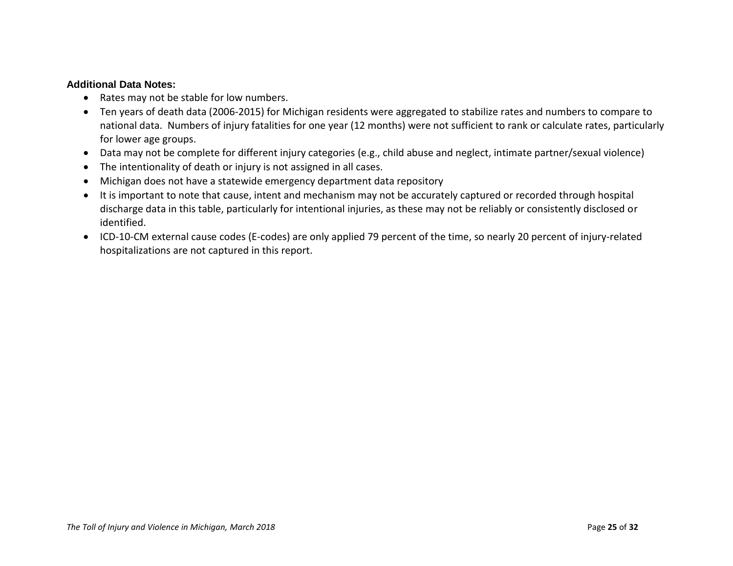#### **Additional Data Notes:**

- Rates may not be stable for low numbers.
- Ten years of death data (2006-2015) for Michigan residents were aggregated to stabilize rates and numbers to compare to national data. Numbers of injury fatalities for one year (12 months) were not sufficient to rank or calculate rates, particularly for lower age groups.
- Data may not be complete for different injury categories (e.g., child abuse and neglect, intimate partner/sexual violence)
- The intentionality of death or injury is not assigned in all cases.
- Michigan does not have a statewide emergency department data repository
- It is important to note that cause, intent and mechanism may not be accurately captured or recorded through hospital discharge data in this table, particularly for intentional injuries, as these may not be reliably or consistently disclosed or identified.
- ICD-10-CM external cause codes (E-codes) are only applied 79 percent of the time, so nearly 20 percent of injury-related hospitalizations are not captured in this report.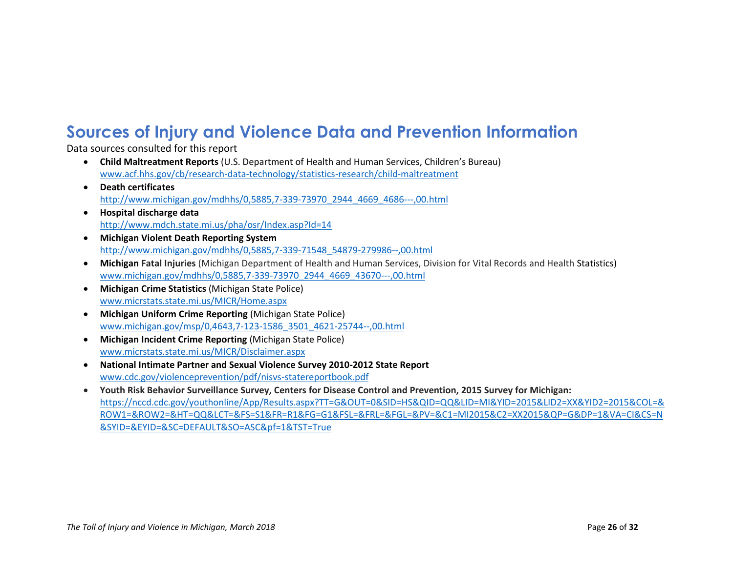# **Sources of Injury and Violence Data and Prevention Information**

Data sources consulted for this report

- **Child Maltreatment Reports** (U.S. Department of Health and Human Services, Children's Bureau) [www.acf.hhs.gov/cb/research-data-technology/statistics-research/child-maltreatment](http://www.acf.hhs.gov/cb/research-data-technology/statistics-research/child-maltreatment)
- **Death certificates** [http://www.michigan.gov/mdhhs/0,5885,7-339-73970\\_2944\\_4669\\_4686---,00.html](http://www.michigan.gov/mdhhs/0,5885,7-339-73970_2944_4669_4686---,00.html)
- **Hospital discharge data** <http://www.mdch.state.mi.us/pha/osr/Index.asp?Id=14>
- **Michigan Violent Death Reporting System** [http://www.michigan.gov/mdhhs/0,5885,7-339-71548\\_54879-279986--,00.html](http://www.michigan.gov/mdhhs/0,5885,7-339-71548_54879-279986--,00.html)
- **Michigan Fatal Injuries** (Michigan Department of Health and Human Services, Division for Vital Records and Health Statistics) [www.michigan.gov/mdhhs/0,5885,7-339-73970\\_2944\\_4669\\_43670---,00.html](http://www.michigan.gov/mdhhs/0,5885,7-339-73970_2944_4669_43670---,00.html)
- **Michigan Crime Statistics** (Michigan State Police) [www.micrstats.state.mi.us/MICR/Home.aspx](http://www.micrstats.state.mi.us/MICR/Home.aspx)
- **Michigan Uniform Crime Reporting** (Michigan State Police) [www.michigan.gov/msp/0,4643,7-123-1586\\_3501\\_4621-25744--,00.html](http://www.michigan.gov/msp/0,4643,7-123-1586_3501_4621-25744--,00.html)
- **Michigan Incident Crime Reporting** (Michigan State Police) [www.micrstats.state.mi.us/MICR/Disclaimer.aspx](http://www.micrstats.state.mi.us/MICR/Disclaimer.aspx)
- **National Intimate Partner and Sexual Violence Survey 2010-2012 State Report**  [www.cdc.gov/violenceprevention/pdf/nisvs-statereportbook.pdf](http://www.cdc.gov/violenceprevention/pdf/nisvs-statereportbook.pdf)
- **Youth Risk Behavior Surveillance Survey, Centers for Disease Control and Prevention, 2015 Survey for Michigan:** [https://nccd.cdc.gov/youthonline/App/Results.aspx?TT=G&OUT=0&SID=HS&QID=QQ&LID=MI&YID=2015&LID2=XX&YID2=2015&COL=&](https://nccd.cdc.gov/youthonline/App/Results.aspx?TT=G&OUT=0&SID=HS&QID=QQ&LID=MI&YID=2015&LID2=XX&YID2=2015&COL=&ROW1=&ROW2=&HT=QQ&LCT=&FS=S1&FR=R1&FG=G1&FSL=&FRL=&FGL=&PV=&C1=MI2015&C2=XX2015&QP=G&DP=1&VA=CI&CS=N&SYID=&EYID=&SC=DEFAULT&SO=ASC&pf=1&TST=True) [ROW1=&ROW2=&HT=QQ&LCT=&FS=S1&FR=R1&FG=G1&FSL=&FRL=&FGL=&PV=&C1=MI2015&C2=XX2015&QP=G&DP=1&VA=CI&CS=N](https://nccd.cdc.gov/youthonline/App/Results.aspx?TT=G&OUT=0&SID=HS&QID=QQ&LID=MI&YID=2015&LID2=XX&YID2=2015&COL=&ROW1=&ROW2=&HT=QQ&LCT=&FS=S1&FR=R1&FG=G1&FSL=&FRL=&FGL=&PV=&C1=MI2015&C2=XX2015&QP=G&DP=1&VA=CI&CS=N&SYID=&EYID=&SC=DEFAULT&SO=ASC&pf=1&TST=True) [&SYID=&EYID=&SC=DEFAULT&SO=ASC&pf=1&TST=True](https://nccd.cdc.gov/youthonline/App/Results.aspx?TT=G&OUT=0&SID=HS&QID=QQ&LID=MI&YID=2015&LID2=XX&YID2=2015&COL=&ROW1=&ROW2=&HT=QQ&LCT=&FS=S1&FR=R1&FG=G1&FSL=&FRL=&FGL=&PV=&C1=MI2015&C2=XX2015&QP=G&DP=1&VA=CI&CS=N&SYID=&EYID=&SC=DEFAULT&SO=ASC&pf=1&TST=True)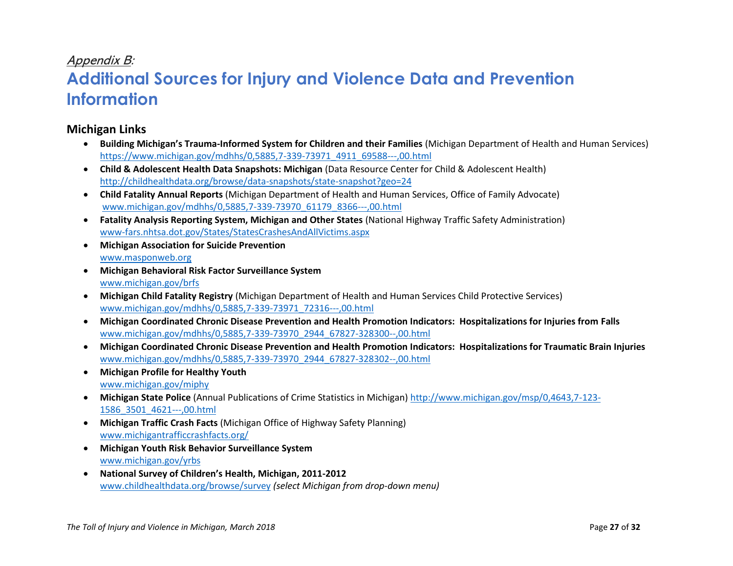### <span id="page-30-0"></span>Appendix B:

# **Additional Sources for Injury and Violence Data and Prevention Information**

#### **Michigan Links**

- **Building Michigan's Trauma-Informed System for Children and their Families** (Michigan Department of Health and Human Services) [https://www.michigan.gov/mdhhs/0,5885,7-339-73971\\_4911\\_69588---,00.html](https://www.michigan.gov/mdhhs/0,5885,7-339-73971_4911_69588---,00.html)
- **Child & Adolescent Health Data Snapshots: Michigan** (Data Resource Center for Child & Adolescent Health) <http://childhealthdata.org/browse/data-snapshots/state-snapshot?geo=24>
- **Child Fatality Annual Reports** (Michigan Department of Health and Human Services, Office of Family Advocate) [www.michigan.gov/mdhhs/0,5885,7-339-73970\\_61179\\_8366---,00.html](http://www.michigan.gov/mdhhs/0,5885,7-339-73970_61179_8366---,00.html)
- **Fatality Analysis Reporting System, Michigan and Other States** (National Highway Traffic Safety Administration) [www-fars.nhtsa.dot.gov/States/StatesCrashesAndAllVictims.aspx](https://www-fars.nhtsa.dot.gov/States/StatesCrashesAndAllVictims.aspx)
- **Michigan Association for Suicide Prevention** [www.masponweb.org](http://www.masponweb.org/)
- **Michigan Behavioral Risk Factor Surveillance System** [www.michigan.gov/brfs](http://www.michigan.gov/brfs)
- **Michigan Child Fatality Registry** (Michigan Department of Health and Human Services Child Protective Services) [www.michigan.gov/mdhhs/0,5885,7-339-73971\\_72316---,00.html](http://www.michigan.gov/mdhhs/0,5885,7-339-73971_72316---,00.html)
- **Michigan Coordinated Chronic Disease Prevention and Health Promotion Indicators: Hospitalizations for Injuries from Falls** [www.michigan.gov/mdhhs/0,5885,7-339-73970\\_2944\\_67827-328300--,00.html](http://www.michigan.gov/mdhhs/0,5885,7-339-73970_2944_67827-328300--,00.html)
- **Michigan Coordinated Chronic Disease Prevention and Health Promotion Indicators: Hospitalizations for Traumatic Brain Injuries** [www.michigan.gov/mdhhs/0,5885,7-339-73970\\_2944\\_67827-328302--,00.html](http://www.michigan.gov/mdhhs/0,5885,7-339-73970_2944_67827-328302--,00.html)
- **Michigan Profile for Healthy Youth** [www.michigan.gov/miphy](http://www.michigan.gov/miphy)
- **Michigan State Police** (Annual Publications of Crime Statistics in Michigan) [http://www.michigan.gov/msp/0,4643,7-123-](http://www.michigan.gov/msp/0,4643,7-123-1586_3501_4621---,00.html) [1586\\_3501\\_4621---,00.html](http://www.michigan.gov/msp/0,4643,7-123-1586_3501_4621---,00.html)
- **Michigan Traffic Crash Facts** (Michigan Office of Highway Safety Planning) [www.michigantrafficcrashfacts.org/](http://www.michigantrafficcrashfacts.org/)
- **Michigan Youth Risk Behavior Surveillance System** [www.michigan.gov/yrbs](http://www.michigan.gov/yrbs)
- **National Survey of Children's Health, Michigan, 2011-2012** [www.childhealthdata.org/browse/survey](http://www.childhealthdata.org/browse/survey) *(select Michigan from drop-down menu)*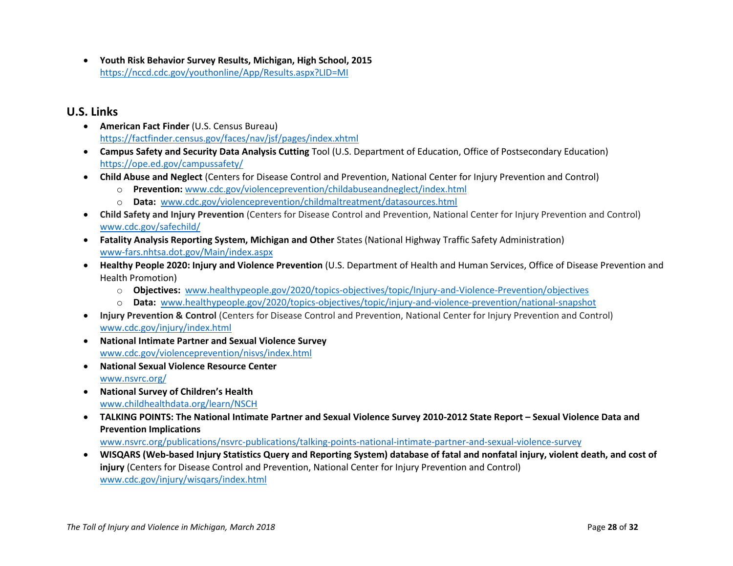• **Youth Risk Behavior Survey Results, Michigan, High School, 2015** <https://nccd.cdc.gov/youthonline/App/Results.aspx?LID=MI>

#### **U.S. Links**

- **American Fact Finder** (U.S. Census Bureau) <https://factfinder.census.gov/faces/nav/jsf/pages/index.xhtml>
- **Campus Safety and Security Data Analysis Cutting** Tool (U.S. Department of Education, Office of Postsecondary Education) <https://ope.ed.gov/campussafety/>
- **Child Abuse and Neglect** (Centers for Disease Control and Prevention, National Center for Injury Prevention and Control)
	- o **Prevention:** [www.cdc.gov/violenceprevention/childabuseandneglect/index.html](http://www.cdc.gov/violenceprevention/childabuseandneglect/index.html)
	- o **Data:** [www.cdc.gov/violenceprevention/childmaltreatment/datasources.html](http://www.cdc.gov/violenceprevention/childmaltreatment/datasources.html)
- **Child Safety and Injury Prevention** (Centers for Disease Control and Prevention, National Center for Injury Prevention and Control) [www.cdc.gov/safechild/](http://www.cdc.gov/safechild/)
- **Fatality Analysis Reporting System, Michigan and Other** States (National Highway Traffic Safety Administration) [www-fars.nhtsa.dot.gov/Main/index.aspx](https://www-fars.nhtsa.dot.gov/Main/index.aspx)
- **Healthy People 2020: Injury and Violence Prevention** (U.S. Department of Health and Human Services, Office of Disease Prevention and Health Promotion)
	- o **Objectives:** [www.healthypeople.gov/2020/topics-objectives/topic/Injury-and-Violence-Prevention/objectives](http://www.healthypeople.gov/2020/topics-objectives/topic/Injury-and-Violence-Prevention/objectives)
	- o **Data:** [www.healthypeople.gov/2020/topics-objectives/topic/injury-and-violence-prevention/national-snapshot](http://www.healthypeople.gov/2020/topics-objectives/topic/injury-and-violence-prevention/national-snapshot)
- **Injury Prevention & Control** (Centers for Disease Control and Prevention, National Center for Injury Prevention and Control) [www.cdc.gov/injury/index.html](http://www.cdc.gov/injury/index.html)
- **National Intimate Partner and Sexual Violence Survey** [www.cdc.gov/violenceprevention/nisvs/index.html](http://www.cdc.gov/violenceprevention/nisvs/index.html)
- **National Sexual Violence Resource Center** [www.nsvrc.org/](http://www.nsvrc.org/)
- **National Survey of Children's Health** [www.childhealthdata.org/learn/NSCH](http://www.childhealthdata.org/learn/NSCH)
- TALKING POINTS: The National Intimate Partner and Sexual Violence Survey 2010-2012 State Report Sexual Violence Data and **Prevention Implications**

[www.nsvrc.org/publications/nsvrc-publications/talking-points-national-intimate-partner-and-sexual-violence-survey](http://www.nsvrc.org/publications/nsvrc-publications/talking-points-national-intimate-partner-and-sexual-violence-survey)

• **WISQARS (Web-based Injury Statistics Query and Reporting System) database of fatal and nonfatal injury, violent death, and cost of injury** (Centers for Disease Control and Prevention, National Center for Injury Prevention and Control) [www.cdc.gov/injury/wisqars/index.html](http://www.cdc.gov/injury/wisqars/index.html)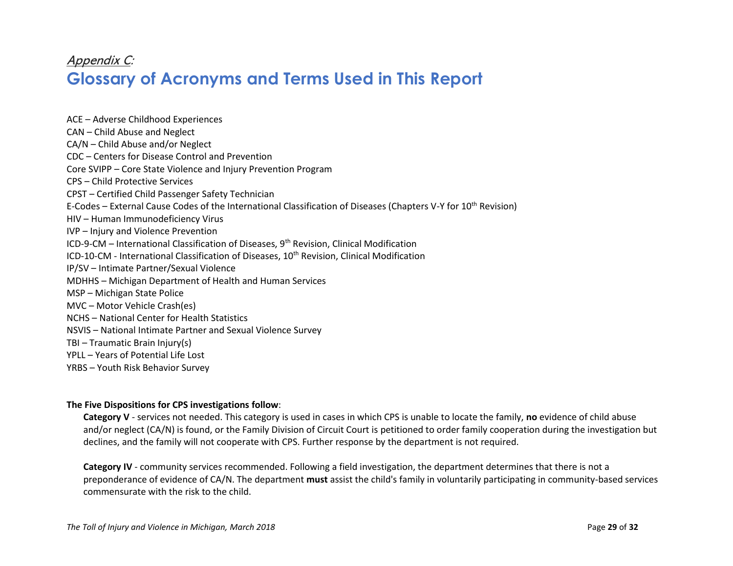### <span id="page-32-0"></span>Appendix C: **Glossary of Acronyms and Terms Used in This Report**

ACE – Adverse Childhood Experiences CAN – Child Abuse and Neglect CA/N – Child Abuse and/or Neglect CDC – Centers for Disease Control and Prevention Core SVIPP – Core State Violence and Injury Prevention Program CPS – Child Protective Services CPST – Certified Child Passenger Safety Technician E-Codes – External Cause Codes of the International Classification of Diseases (Chapters V-Y for 10th Revision) HIV – Human Immunodeficiency Virus IVP – Injury and Violence Prevention ICD-9-CM – International Classification of Diseases, 9<sup>th</sup> Revision, Clinical Modification ICD-10-CM - International Classification of Diseases, 10<sup>th</sup> Revision, Clinical Modification IP/SV – Intimate Partner/Sexual Violence MDHHS – Michigan Department of Health and Human Services MSP – Michigan State Police MVC – Motor Vehicle Crash(es) NCHS – National Center for Health Statistics NSVIS – National Intimate Partner and Sexual Violence Survey TBI – Traumatic Brain Injury(s) YPLL – Years of Potential Life Lost YRBS – Youth Risk Behavior Survey

#### **The Five Dispositions for CPS investigations follow**:

**Category V** - services not needed. This category is used in cases in which CPS is unable to locate the family, **no** evidence of child abuse and/or neglect (CA/N) is found, or the Family Division of Circuit Court is petitioned to order family cooperation during the investigation but declines, and the family will not cooperate with CPS. Further response by the department is not required.

**Category IV** - community services recommended. Following a field investigation, the department determines that there is not a preponderance of evidence of CA/N. The department **must** assist the child's family in voluntarily participating in community-based services commensurate with the risk to the child.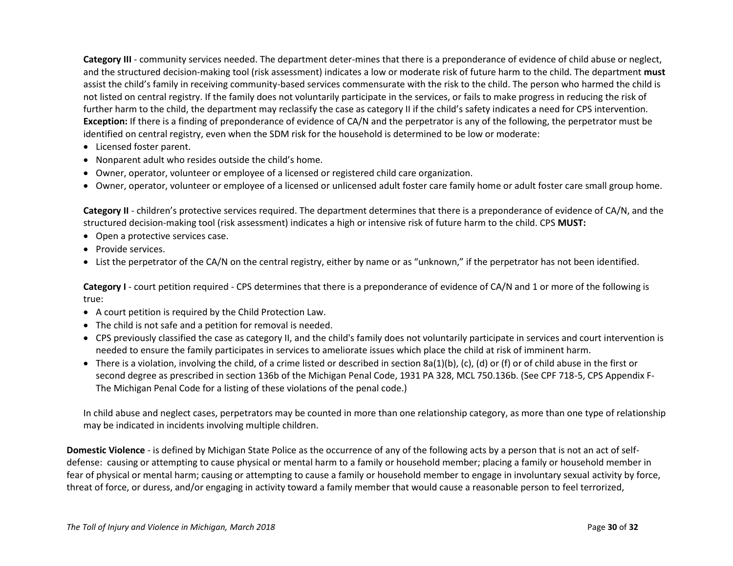**Category III** - community services needed. The department deter-mines that there is a preponderance of evidence of child abuse or neglect, and the structured decision-making tool (risk assessment) indicates a low or moderate risk of future harm to the child. The department **must**  assist the child's family in receiving community-based services commensurate with the risk to the child. The person who harmed the child is not listed on central registry. If the family does not voluntarily participate in the services, or fails to make progress in reducing the risk of further harm to the child, the department may reclassify the case as category II if the child's safety indicates a need for CPS intervention. **Exception:** If there is a finding of preponderance of evidence of CA/N and the perpetrator is any of the following, the perpetrator must be identified on central registry, even when the SDM risk for the household is determined to be low or moderate:

- Licensed foster parent.
- Nonparent adult who resides outside the child's home.
- Owner, operator, volunteer or employee of a licensed or registered child care organization.
- Owner, operator, volunteer or employee of a licensed or unlicensed adult foster care family home or adult foster care small group home.

**Category II** - children's protective services required. The department determines that there is a preponderance of evidence of CA/N, and the structured decision-making tool (risk assessment) indicates a high or intensive risk of future harm to the child. CPS **MUST:** 

- Open a protective services case.
- Provide services.
- List the perpetrator of the CA/N on the central registry, either by name or as "unknown," if the perpetrator has not been identified.

**Category I** - court petition required - CPS determines that there is a preponderance of evidence of CA/N and 1 or more of the following is true:

- A court petition is required by the Child Protection Law.
- The child is not safe and a petition for removal is needed.
- CPS previously classified the case as category II, and the child's family does not voluntarily participate in services and court intervention is needed to ensure the family participates in services to ameliorate issues which place the child at risk of imminent harm.
- There is a violation, involving the child, of a crime listed or described in section 8a(1)(b), (c), (d) or (f) or of child abuse in the first or second degree as prescribed in section 136b of the Michigan Penal Code, 1931 PA 328, MCL 750.136b. (See CPF 718-5, CPS Appendix F-The Michigan Penal Code for a listing of these violations of the penal code.)

In child abuse and neglect cases, perpetrators may be counted in more than one relationship category, as more than one type of relationship may be indicated in incidents involving multiple children.

**Domestic Violence** - is defined by Michigan State Police as the occurrence of any of the following acts by a person that is not an act of selfdefense: causing or attempting to cause physical or mental harm to a family or household member; placing a family or household member in fear of physical or mental harm; causing or attempting to cause a family or household member to engage in involuntary sexual activity by force, threat of force, or duress, and/or engaging in activity toward a family member that would cause a reasonable person to feel terrorized,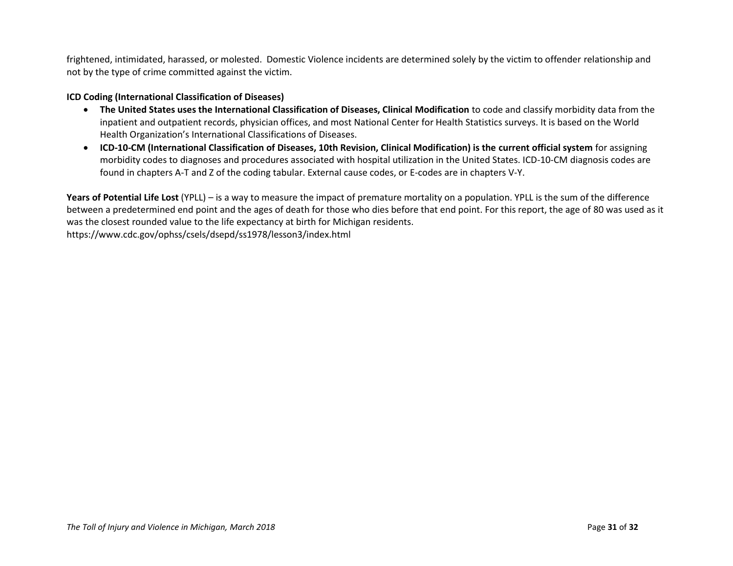frightened, intimidated, harassed, or molested. Domestic Violence incidents are determined solely by the victim to offender relationship and not by the type of crime committed against the victim.

#### **ICD Coding (International Classification of Diseases)**

- **The United States uses the International Classification of Diseases, Clinical Modification** to code and classify morbidity data from the inpatient and outpatient records, physician offices, and most National Center for Health Statistics surveys. It is based on the World Health Organization's International Classifications of Diseases.
- **ICD-10-CM (International Classification of Diseases, 10th Revision, Clinical Modification) is the current official system** for assigning morbidity codes to diagnoses and procedures associated with hospital utilization in the United States. ICD-10-CM diagnosis codes are found in chapters A-T and Z of the coding tabular. External cause codes, or E-codes are in chapters V-Y.

**Years of Potential Life Lost** (YPLL) – is a way to measure the impact of premature mortality on a population. YPLL is the sum of the difference between a predetermined end point and the ages of death for those who dies before that end point. For this report, the age of 80 was used as it was the closest rounded value to the life expectancy at birth for Michigan residents. https://www.cdc.gov/ophss/csels/dsepd/ss1978/lesson3/index.html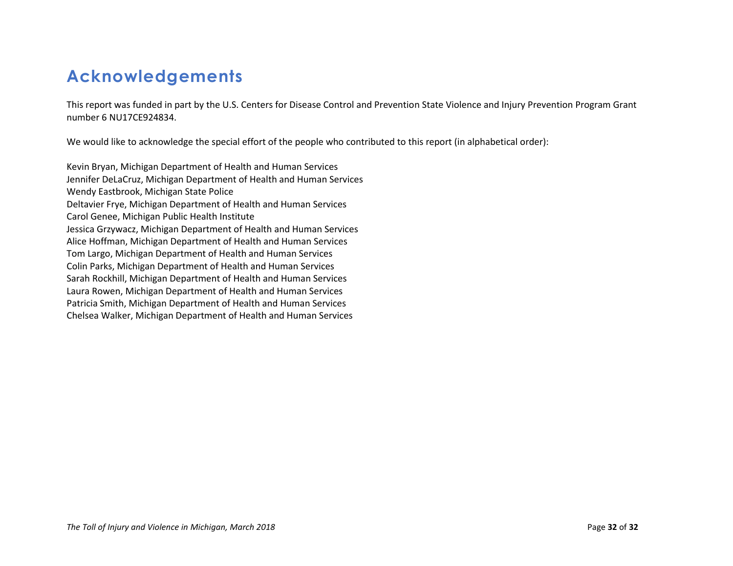# <span id="page-35-0"></span>**Acknowledgements**

This report was funded in part by the U.S. Centers for Disease Control and Prevention State Violence and Injury Prevention Program Grant number 6 NU17CE924834.

We would like to acknowledge the special effort of the people who contributed to this report (in alphabetical order):

Kevin Bryan, Michigan Department of Health and Human Services Jennifer DeLaCruz, Michigan Department of Health and Human Services Wendy Eastbrook, Michigan State Police Deltavier Frye, Michigan Department of Health and Human Services Carol Genee, Michigan Public Health Institute Jessica Grzywacz, Michigan Department of Health and Human Services Alice Hoffman, Michigan Department of Health and Human Services Tom Largo, Michigan Department of Health and Human Services Colin Parks, Michigan Department of Health and Human Services Sarah Rockhill, Michigan Department of Health and Human Services Laura Rowen, Michigan Department of Health and Human Services Patricia Smith, Michigan Department of Health and Human Services Chelsea Walker, Michigan Department of Health and Human Services